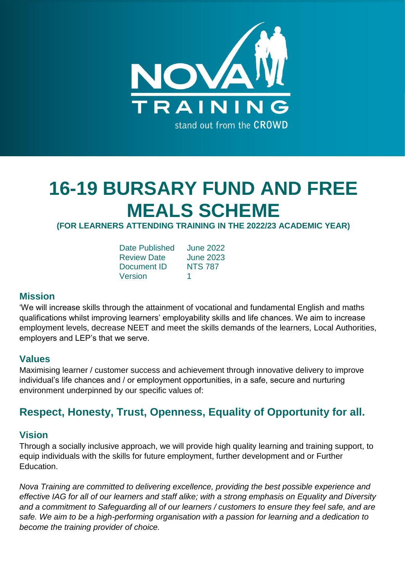

# **16-19 BURSARY FUND AND FREE MEALS SCHEME**

# **(FOR LEARNERS ATTENDING TRAINING IN THE 2022/23 ACADEMIC YEAR)**

| <b>Date Published</b> | <b>June 2022</b> |
|-----------------------|------------------|
| <b>Review Date</b>    | June 2023        |
| Document ID           | <b>NTS 787</b>   |
| Version               |                  |

#### **Mission**

'We will increase skills through the attainment of vocational and fundamental English and maths qualifications whilst improving learners' employability skills and life chances. We aim to increase employment levels, decrease NEET and meet the skills demands of the learners, Local Authorities, employers and LEP's that we serve.

#### **Values**

Maximising learner / customer success and achievement through innovative delivery to improve individual's life chances and / or employment opportunities, in a safe, secure and nurturing environment underpinned by our specific values of:

# **Respect, Honesty, Trust, Openness, Equality of Opportunity for all.**

### **Vision**

Through a socially inclusive approach, we will provide high quality learning and training support, to equip individuals with the skills for future employment, further development and or Further Education.

*Nova Training are committed to delivering excellence, providing the best possible experience and effective IAG for all of our learners and staff alike; with a strong emphasis on Equality and Diversity and a commitment to Safeguarding all of our learners / customers to ensure they feel safe, and are safe. We aim to be a high-performing organisation with a passion for learning and a dedication to become the training provider of choice.*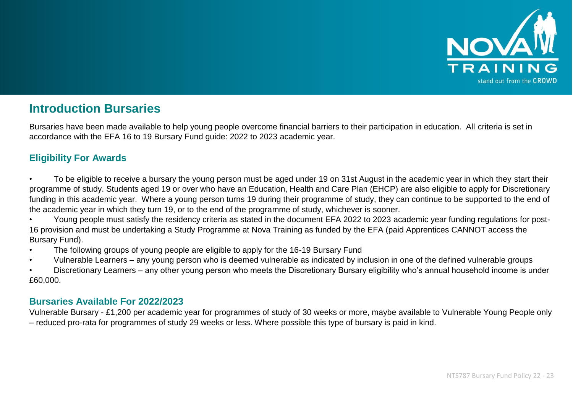

# **Introduction Bursaries**

Bursaries have been made available to help young people overcome financial barriers to their participation in education. All criteria is set in accordance with the EFA 16 to 19 Bursary Fund guide: 2022 to 2023 academic year.

# **Eligibility For Awards**

- To be eligible to receive a bursary the young person must be aged under 19 on 31st August in the academic year in which they start their programme of study. Students aged 19 or over who have an Education, Health and Care Plan (EHCP) are also eligible to apply for Discretionary funding in this academic year. Where a young person turns 19 during their programme of study, they can continue to be supported to the end of the academic year in which they turn 19, or to the end of the programme of study, whichever is sooner.
- Young people must satisfy the residency criteria as stated in the document EFA 2022 to 2023 academic year funding regulations for post-16 provision and must be undertaking a Study Programme at Nova Training as funded by the EFA (paid Apprentices CANNOT access the Bursary Fund).
- The following groups of young people are eligible to apply for the 16-19 Bursary Fund
- Vulnerable Learners any young person who is deemed vulnerable as indicated by inclusion in one of the defined vulnerable groups
- Discretionary Learners any other young person who meets the Discretionary Bursary eligibility who's annual household income is under £60,000.

### **Bursaries Available For 2022/2023**

Vulnerable Bursary - £1,200 per academic year for programmes of study of 30 weeks or more, maybe available to Vulnerable Young People only – reduced pro-rata for programmes of study 29 weeks or less. Where possible this type of bursary is paid in kind.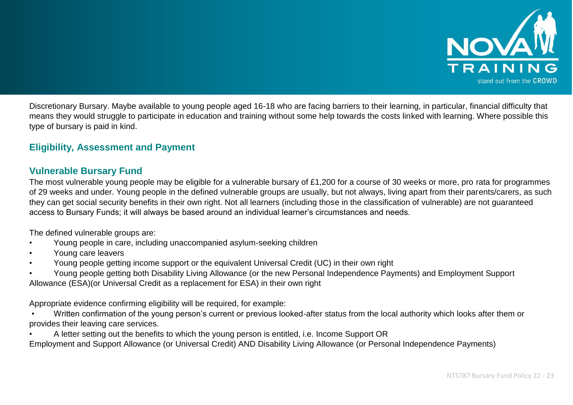

Discretionary Bursary. Maybe available to young people aged 16-18 who are facing barriers to their learning, in particular, financial difficulty that means they would struggle to participate in education and training without some help towards the costs linked with learning. Where possible this type of bursary is paid in kind.

# **Eligibility, Assessment and Payment**

#### **Vulnerable Bursary Fund**

The most vulnerable young people may be eligible for a vulnerable bursary of £1,200 for a course of 30 weeks or more, pro rata for programmes of 29 weeks and under. Young people in the defined vulnerable groups are usually, but not always, living apart from their parents/carers, as such they can get social security benefits in their own right. Not all learners (including those in the classification of vulnerable) are not guaranteed access to Bursary Funds; it will always be based around an individual learner's circumstances and needs.

The defined vulnerable groups are:

- Young people in care, including unaccompanied asylum-seeking children
- Young care leavers
- Young people getting income support or the equivalent Universal Credit (UC) in their own right
- Young people getting both Disability Living Allowance (or the new Personal Independence Payments) and Employment Support Allowance (ESA)(or Universal Credit as a replacement for ESA) in their own right

Appropriate evidence confirming eligibility will be required, for example:

- Written confirmation of the young person's current or previous looked-after status from the local authority which looks after them or provides their leaving care services.
- A letter setting out the benefits to which the young person is entitled, i.e. Income Support OR

Employment and Support Allowance (or Universal Credit) AND Disability Living Allowance (or Personal Independence Payments)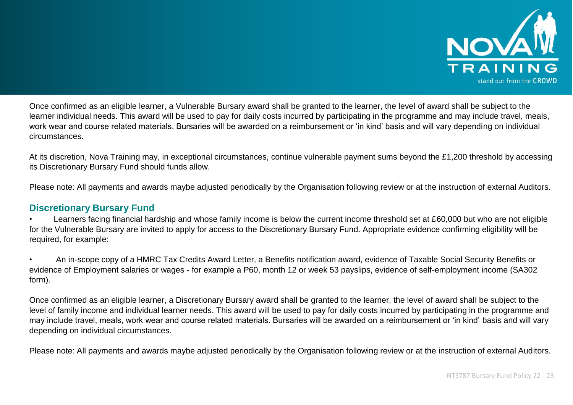

Once confirmed as an eligible learner, a Vulnerable Bursary award shall be granted to the learner, the level of award shall be subject to the learner individual needs. This award will be used to pay for daily costs incurred by participating in the programme and may include travel, meals, work wear and course related materials. Bursaries will be awarded on a reimbursement or 'in kind' basis and will vary depending on individual circumstances.

At its discretion, Nova Training may, in exceptional circumstances, continue vulnerable payment sums beyond the £1,200 threshold by accessing its Discretionary Bursary Fund should funds allow.

Please note: All payments and awards maybe adjusted periodically by the Organisation following review or at the instruction of external Auditors.

### **Discretionary Bursary Fund**

Learners facing financial hardship and whose family income is below the current income threshold set at £60,000 but who are not eligible for the Vulnerable Bursary are invited to apply for access to the Discretionary Bursary Fund. Appropriate evidence confirming eligibility will be required, for example:

• An in-scope copy of a HMRC Tax Credits Award Letter, a Benefits notification award, evidence of Taxable Social Security Benefits or evidence of Employment salaries or wages - for example a P60, month 12 or week 53 payslips, evidence of self-employment income (SA302 form).

Once confirmed as an eligible learner, a Discretionary Bursary award shall be granted to the learner, the level of award shall be subject to the level of family income and individual learner needs. This award will be used to pay for daily costs incurred by participating in the programme and may include travel, meals, work wear and course related materials. Bursaries will be awarded on a reimbursement or 'in kind' basis and will vary depending on individual circumstances.

Please note: All payments and awards maybe adjusted periodically by the Organisation following review or at the instruction of external Auditors.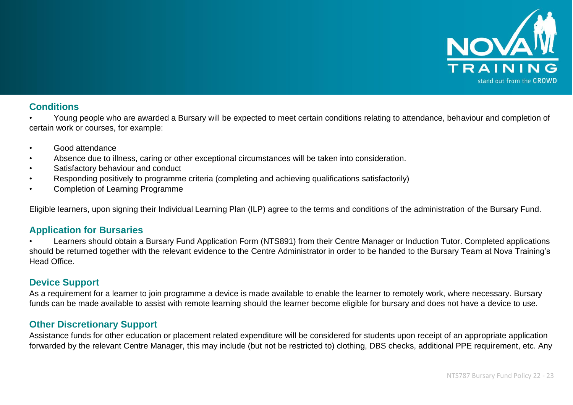

#### **Conditions**

• Young people who are awarded a Bursary will be expected to meet certain conditions relating to attendance, behaviour and completion of certain work or courses, for example:

- Good attendance
- Absence due to illness, caring or other exceptional circumstances will be taken into consideration.
- Satisfactory behaviour and conduct
- Responding positively to programme criteria (completing and achieving qualifications satisfactorily)
- Completion of Learning Programme

Eligible learners, upon signing their Individual Learning Plan (ILP) agree to the terms and conditions of the administration of the Bursary Fund.

#### **Application for Bursaries**

• Learners should obtain a Bursary Fund Application Form (NTS891) from their Centre Manager or Induction Tutor. Completed applications should be returned together with the relevant evidence to the Centre Administrator in order to be handed to the Bursary Team at Nova Training's Head Office.

### **Device Support**

As a requirement for a learner to join programme a device is made available to enable the learner to remotely work, where necessary. Bursary funds can be made available to assist with remote learning should the learner become eligible for bursary and does not have a device to use.

### **Other Discretionary Support**

Assistance funds for other education or placement related expenditure will be considered for students upon receipt of an appropriate application forwarded by the relevant Centre Manager, this may include (but not be restricted to) clothing, DBS checks, additional PPE requirement, etc. Any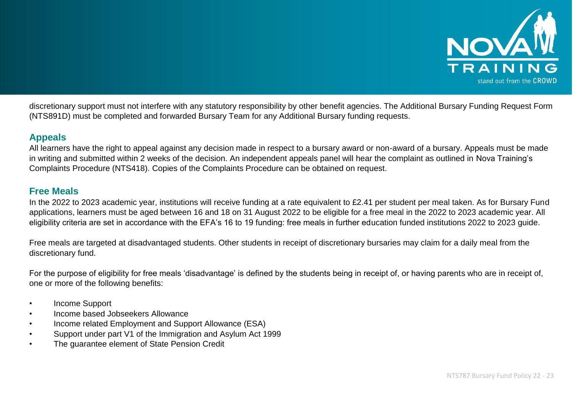

discretionary support must not interfere with any statutory responsibility by other benefit agencies. The Additional Bursary Funding Request Form (NTS891D) must be completed and forwarded Bursary Team for any Additional Bursary funding requests.

# **Appeals**

All learners have the right to appeal against any decision made in respect to a bursary award or non-award of a bursary. Appeals must be made in writing and submitted within 2 weeks of the decision. An independent appeals panel will hear the complaint as outlined in Nova Training's Complaints Procedure (NTS418). Copies of the Complaints Procedure can be obtained on request.

### **Free Meals**

In the 2022 to 2023 academic year, institutions will receive funding at a rate equivalent to £2.41 per student per meal taken. As for Bursary Fund applications, learners must be aged between 16 and 18 on 31 August 2022 to be eligible for a free meal in the 2022 to 2023 academic year. All eligibility criteria are set in accordance with the EFA's 16 to 19 funding: free meals in further education funded institutions 2022 to 2023 guide.

Free meals are targeted at disadvantaged students. Other students in receipt of discretionary bursaries may claim for a daily meal from the discretionary fund.

For the purpose of eligibility for free meals 'disadvantage' is defined by the students being in receipt of, or having parents who are in receipt of, one or more of the following benefits:

- Income Support
- Income based Jobseekers Allowance
- Income related Employment and Support Allowance (ESA)
- Support under part V1 of the Immigration and Asylum Act 1999
- The guarantee element of State Pension Credit